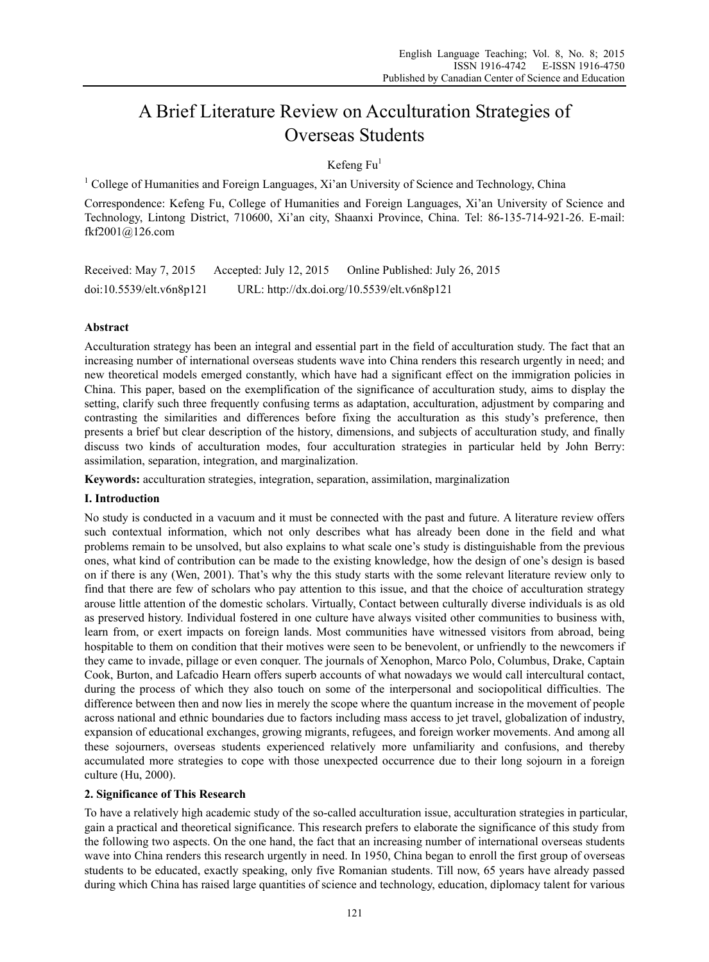# A Brief Literature Review on Acculturation Strategies of Overseas Students

Kefeng  $Fu<sup>1</sup>$ 

<sup>1</sup> College of Humanities and Foreign Languages, Xi'an University of Science and Technology, China

Correspondence: Kefeng Fu, College of Humanities and Foreign Languages, Xi'an University of Science and Technology, Lintong District, 710600, Xi'an city, Shaanxi Province, China. Tel: 86-135-714-921-26. E-mail: fkf2001@126.com

Received: May 7, 2015 Accepted: July 12, 2015 Online Published: July 26, 2015 doi:10.5539/elt.v6n8p121 URL: http://dx.doi.org/10.5539/elt.v6n8p121

# **Abstract**

Acculturation strategy has been an integral and essential part in the field of acculturation study. The fact that an increasing number of international overseas students wave into China renders this research urgently in need; and new theoretical models emerged constantly, which have had a significant effect on the immigration policies in China. This paper, based on the exemplification of the significance of acculturation study, aims to display the setting, clarify such three frequently confusing terms as adaptation, acculturation, adjustment by comparing and contrasting the similarities and differences before fixing the acculturation as this study's preference, then presents a brief but clear description of the history, dimensions, and subjects of acculturation study, and finally discuss two kinds of acculturation modes, four acculturation strategies in particular held by John Berry: assimilation, separation, integration, and marginalization.

**Keywords:** acculturation strategies, integration, separation, assimilation, marginalization

# **I. Introduction**

No study is conducted in a vacuum and it must be connected with the past and future. A literature review offers such contextual information, which not only describes what has already been done in the field and what problems remain to be unsolved, but also explains to what scale one's study is distinguishable from the previous ones, what kind of contribution can be made to the existing knowledge, how the design of one's design is based on if there is any (Wen, 2001). That's why the this study starts with the some relevant literature review only to find that there are few of scholars who pay attention to this issue, and that the choice of acculturation strategy arouse little attention of the domestic scholars. Virtually, Contact between culturally diverse individuals is as old as preserved history. Individual fostered in one culture have always visited other communities to business with, learn from, or exert impacts on foreign lands. Most communities have witnessed visitors from abroad, being hospitable to them on condition that their motives were seen to be benevolent, or unfriendly to the newcomers if they came to invade, pillage or even conquer. The journals of Xenophon, Marco Polo, Columbus, Drake, Captain Cook, Burton, and Lafcadio Hearn offers superb accounts of what nowadays we would call intercultural contact, during the process of which they also touch on some of the interpersonal and sociopolitical difficulties. The difference between then and now lies in merely the scope where the quantum increase in the movement of people across national and ethnic boundaries due to factors including mass access to jet travel, globalization of industry, expansion of educational exchanges, growing migrants, refugees, and foreign worker movements. And among all these sojourners, overseas students experienced relatively more unfamiliarity and confusions, and thereby accumulated more strategies to cope with those unexpected occurrence due to their long sojourn in a foreign culture (Hu, 2000).

# **2. Significance of This Research**

To have a relatively high academic study of the so-called acculturation issue, acculturation strategies in particular, gain a practical and theoretical significance. This research prefers to elaborate the significance of this study from the following two aspects. On the one hand, the fact that an increasing number of international overseas students wave into China renders this research urgently in need. In 1950, China began to enroll the first group of overseas students to be educated, exactly speaking, only five Romanian students. Till now, 65 years have already passed during which China has raised large quantities of science and technology, education, diplomacy talent for various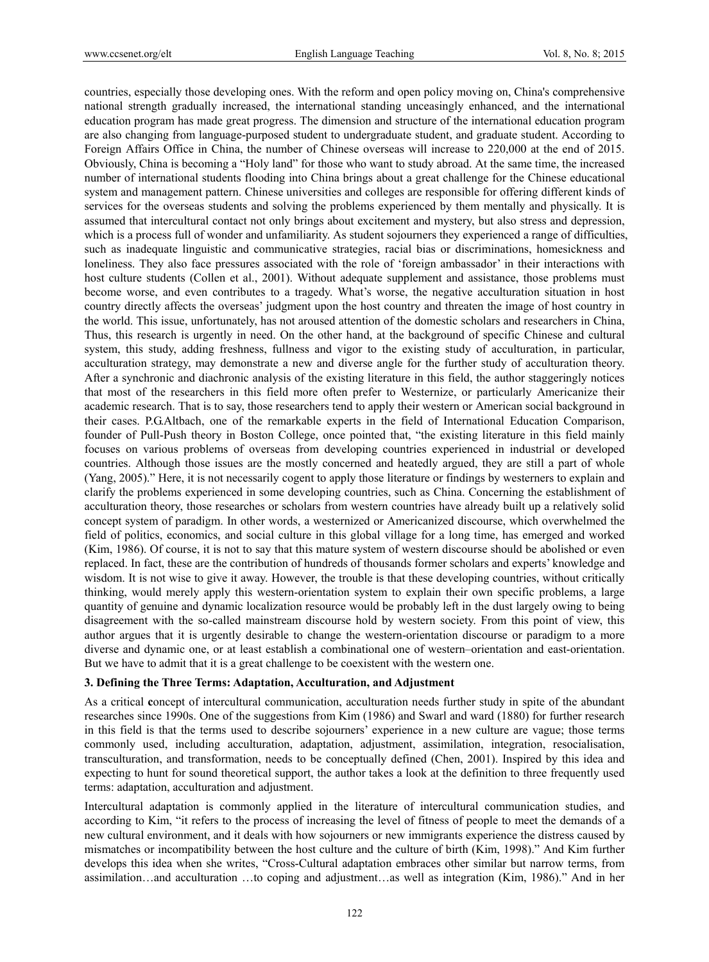countries, especially those developing ones. With the reform and open policy moving on, China's comprehensive national strength gradually increased, the international standing unceasingly enhanced, and the international education program has made great progress. The dimension and structure of the international education program are also changing from language-purposed student to undergraduate student, and graduate student. According to Foreign Affairs Office in China, the number of Chinese overseas will increase to 220,000 at the end of 2015. Obviously, China is becoming a "Holy land" for those who want to study abroad. At the same time, the increased number of international students flooding into China brings about a great challenge for the Chinese educational system and management pattern. Chinese universities and colleges are responsible for offering different kinds of services for the overseas students and solving the problems experienced by them mentally and physically. It is assumed that intercultural contact not only brings about excitement and mystery, but also stress and depression, which is a process full of wonder and unfamiliarity. As student sojourners they experienced a range of difficulties, such as inadequate linguistic and communicative strategies, racial bias or discriminations, homesickness and loneliness. They also face pressures associated with the role of 'foreign ambassador' in their interactions with host culture students (Collen et al., 2001). Without adequate supplement and assistance, those problems must become worse, and even contributes to a tragedy. What's worse, the negative acculturation situation in host country directly affects the overseas' judgment upon the host country and threaten the image of host country in the world. This issue, unfortunately, has not aroused attention of the domestic scholars and researchers in China, Thus, this research is urgently in need. On the other hand, at the background of specific Chinese and cultural system, this study, adding freshness, fullness and vigor to the existing study of acculturation, in particular, acculturation strategy, may demonstrate a new and diverse angle for the further study of acculturation theory. After a synchronic and diachronic analysis of the existing literature in this field, the author staggeringly notices that most of the researchers in this field more often prefer to Westernize, or particularly Americanize their academic research. That is to say, those researchers tend to apply their western or American social background in their cases. P.G.Altbach, one of the remarkable experts in the field of International Education Comparison, founder of Pull-Push theory in Boston College, once pointed that, "the existing literature in this field mainly focuses on various problems of overseas from developing countries experienced in industrial or developed countries. Although those issues are the mostly concerned and heatedly argued, they are still a part of whole (Yang, 2005)." Here, it is not necessarily cogent to apply those literature or findings by westerners to explain and clarify the problems experienced in some developing countries, such as China. Concerning the establishment of acculturation theory, those researches or scholars from western countries have already built up a relatively solid concept system of paradigm. In other words, a westernized or Americanized discourse, which overwhelmed the field of politics, economics, and social culture in this global village for a long time, has emerged and worked (Kim, 1986). Of course, it is not to say that this mature system of western discourse should be abolished or even replaced. In fact, these are the contribution of hundreds of thousands former scholars and experts' knowledge and wisdom. It is not wise to give it away. However, the trouble is that these developing countries, without critically thinking, would merely apply this western-orientation system to explain their own specific problems, a large quantity of genuine and dynamic localization resource would be probably left in the dust largely owing to being disagreement with the so-called mainstream discourse hold by western society. From this point of view, this author argues that it is urgently desirable to change the western-orientation discourse or paradigm to a more diverse and dynamic one, or at least establish a combinational one of western–orientation and east-orientation. But we have to admit that it is a great challenge to be coexistent with the western one.

#### **3. Defining the Three Terms: Adaptation, Acculturation, and Adjustment**

As a critical **c**oncept of intercultural communication, acculturation needs further study in spite of the abundant researches since 1990s. One of the suggestions from Kim (1986) and Swarl and ward (1880) for further research in this field is that the terms used to describe sojourners' experience in a new culture are vague; those terms commonly used, including acculturation, adaptation, adjustment, assimilation, integration, resocialisation, transculturation, and transformation, needs to be conceptually defined (Chen, 2001). Inspired by this idea and expecting to hunt for sound theoretical support, the author takes a look at the definition to three frequently used terms: adaptation, acculturation and adjustment.

Intercultural adaptation is commonly applied in the literature of intercultural communication studies, and according to Kim, "it refers to the process of increasing the level of fitness of people to meet the demands of a new cultural environment, and it deals with how sojourners or new immigrants experience the distress caused by mismatches or incompatibility between the host culture and the culture of birth (Kim, 1998)." And Kim further develops this idea when she writes, "Cross-Cultural adaptation embraces other similar but narrow terms, from assimilation…and acculturation …to coping and adjustment…as well as integration (Kim, 1986)." And in her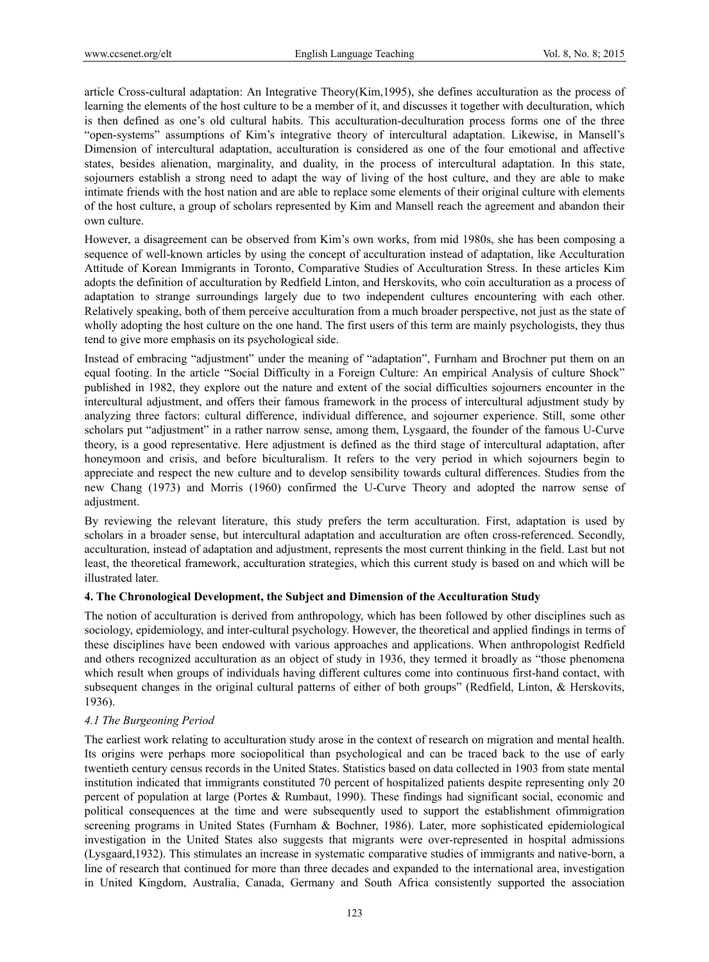article Cross-cultural adaptation: An Integrative Theory(Kim,1995), she defines acculturation as the process of learning the elements of the host culture to be a member of it, and discusses it together with deculturation, which is then defined as one's old cultural habits. This acculturation-deculturation process forms one of the three "open-systems" assumptions of Kim's integrative theory of intercultural adaptation. Likewise, in Mansell's Dimension of intercultural adaptation, acculturation is considered as one of the four emotional and affective states, besides alienation, marginality, and duality, in the process of intercultural adaptation. In this state, sojourners establish a strong need to adapt the way of living of the host culture, and they are able to make intimate friends with the host nation and are able to replace some elements of their original culture with elements of the host culture, a group of scholars represented by Kim and Mansell reach the agreement and abandon their own culture.

However, a disagreement can be observed from Kim's own works, from mid 1980s, she has been composing a sequence of well-known articles by using the concept of acculturation instead of adaptation, like Acculturation Attitude of Korean Immigrants in Toronto, Comparative Studies of Acculturation Stress. In these articles Kim adopts the definition of acculturation by Redfield Linton, and Herskovits, who coin acculturation as a process of adaptation to strange surroundings largely due to two independent cultures encountering with each other. Relatively speaking, both of them perceive acculturation from a much broader perspective, not just as the state of wholly adopting the host culture on the one hand. The first users of this term are mainly psychologists, they thus tend to give more emphasis on its psychological side.

Instead of embracing "adjustment" under the meaning of "adaptation", Furnham and Brochner put them on an equal footing. In the article "Social Difficulty in a Foreign Culture: An empirical Analysis of culture Shock" published in 1982, they explore out the nature and extent of the social difficulties sojourners encounter in the intercultural adjustment, and offers their famous framework in the process of intercultural adjustment study by analyzing three factors: cultural difference, individual difference, and sojourner experience. Still, some other scholars put "adjustment" in a rather narrow sense, among them, Lysgaard, the founder of the famous U-Curve theory, is a good representative. Here adjustment is defined as the third stage of intercultural adaptation, after honeymoon and crisis, and before biculturalism. It refers to the very period in which sojourners begin to appreciate and respect the new culture and to develop sensibility towards cultural differences. Studies from the new Chang (1973) and Morris (1960) confirmed the U-Curve Theory and adopted the narrow sense of adjustment.

By reviewing the relevant literature, this study prefers the term acculturation. First, adaptation is used by scholars in a broader sense, but intercultural adaptation and acculturation are often cross-referenced. Secondly, acculturation, instead of adaptation and adjustment, represents the most current thinking in the field. Last but not least, the theoretical framework, acculturation strategies, which this current study is based on and which will be illustrated later.

# **4. The Chronological Development, the Subject and Dimension of the Acculturation Study**

The notion of acculturation is derived from anthropology, which has been followed by other disciplines such as sociology, epidemiology, and inter-cultural psychology. However, the theoretical and applied findings in terms of these disciplines have been endowed with various approaches and applications. When anthropologist Redfield and others recognized acculturation as an object of study in 1936, they termed it broadly as "those phenomena which result when groups of individuals having different cultures come into continuous first-hand contact, with subsequent changes in the original cultural patterns of either of both groups" (Redfield, Linton, & Herskovits, 1936).

# *4.1 The Burgeoning Period*

The earliest work relating to acculturation study arose in the context of research on migration and mental health. Its origins were perhaps more sociopolitical than psychological and can be traced back to the use of early twentieth century census records in the United States. Statistics based on data collected in 1903 from state mental institution indicated that immigrants constituted 70 percent of hospitalized patients despite representing only 20 percent of population at large (Portes & Rumbaut, 1990). These findings had significant social, economic and political consequences at the time and were subsequently used to support the establishment ofimmigration screening programs in United States (Furnham & Bochner, 1986). Later, more sophisticated epidemiological investigation in the United States also suggests that migrants were over-represented in hospital admissions (Lysgaard,1932). This stimulates an increase in systematic comparative studies of immigrants and native-born, a line of research that continued for more than three decades and expanded to the international area, investigation in United Kingdom, Australia, Canada, Germany and South Africa consistently supported the association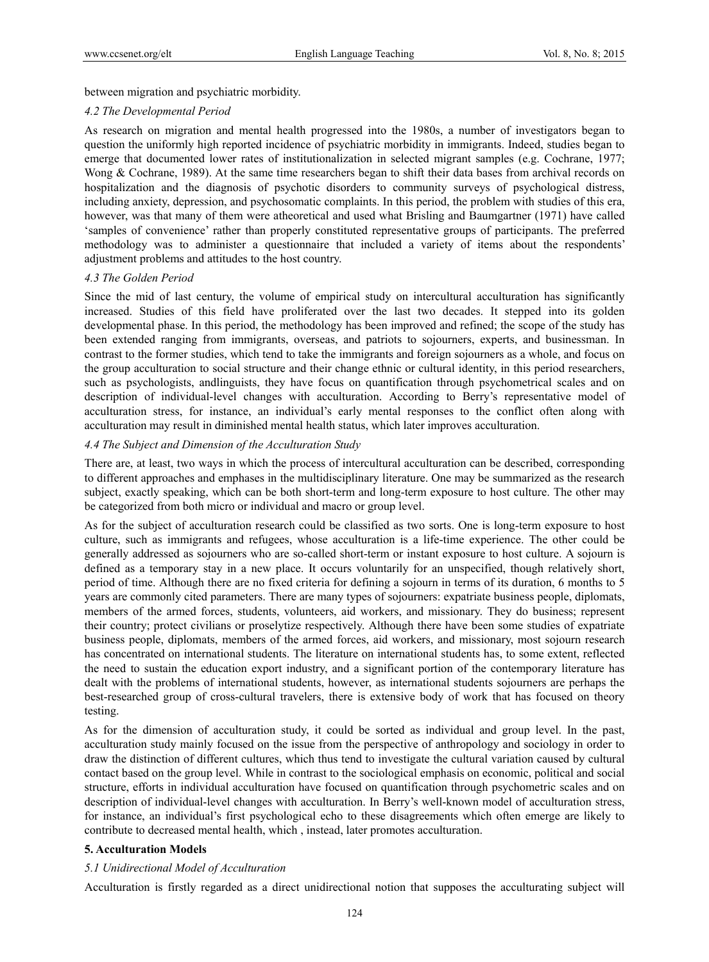between migration and psychiatric morbidity.

#### *4.2 The Developmental Period*

As research on migration and mental health progressed into the 1980s, a number of investigators began to question the uniformly high reported incidence of psychiatric morbidity in immigrants. Indeed, studies began to emerge that documented lower rates of institutionalization in selected migrant samples (e.g. Cochrane, 1977; Wong & Cochrane, 1989). At the same time researchers began to shift their data bases from archival records on hospitalization and the diagnosis of psychotic disorders to community surveys of psychological distress, including anxiety, depression, and psychosomatic complaints. In this period, the problem with studies of this era, however, was that many of them were atheoretical and used what Brisling and Baumgartner (1971) have called 'samples of convenience' rather than properly constituted representative groups of participants. The preferred methodology was to administer a questionnaire that included a variety of items about the respondents' adjustment problems and attitudes to the host country.

#### *4.3 The Golden Period*

Since the mid of last century, the volume of empirical study on intercultural acculturation has significantly increased. Studies of this field have proliferated over the last two decades. It stepped into its golden developmental phase. In this period, the methodology has been improved and refined; the scope of the study has been extended ranging from immigrants, overseas, and patriots to sojourners, experts, and businessman. In contrast to the former studies, which tend to take the immigrants and foreign sojourners as a whole, and focus on the group acculturation to social structure and their change ethnic or cultural identity, in this period researchers, such as psychologists, andlinguists, they have focus on quantification through psychometrical scales and on description of individual-level changes with acculturation. According to Berry's representative model of acculturation stress, for instance, an individual's early mental responses to the conflict often along with acculturation may result in diminished mental health status, which later improves acculturation.

# *4.4 The Subject and Dimension of the Acculturation Study*

There are, at least, two ways in which the process of intercultural acculturation can be described, corresponding to different approaches and emphases in the multidisciplinary literature. One may be summarized as the research subject, exactly speaking, which can be both short-term and long-term exposure to host culture. The other may be categorized from both micro or individual and macro or group level.

As for the subject of acculturation research could be classified as two sorts. One is long-term exposure to host culture, such as immigrants and refugees, whose acculturation is a life-time experience. The other could be generally addressed as sojourners who are so-called short-term or instant exposure to host culture. A sojourn is defined as a temporary stay in a new place. It occurs voluntarily for an unspecified, though relatively short, period of time. Although there are no fixed criteria for defining a sojourn in terms of its duration, 6 months to 5 years are commonly cited parameters. There are many types of sojourners: expatriate business people, diplomats, members of the armed forces, students, volunteers, aid workers, and missionary. They do business; represent their country; protect civilians or proselytize respectively. Although there have been some studies of expatriate business people, diplomats, members of the armed forces, aid workers, and missionary, most sojourn research has concentrated on international students. The literature on international students has, to some extent, reflected the need to sustain the education export industry, and a significant portion of the contemporary literature has dealt with the problems of international students, however, as international students sojourners are perhaps the best-researched group of cross-cultural travelers, there is extensive body of work that has focused on theory testing.

As for the dimension of acculturation study, it could be sorted as individual and group level. In the past, acculturation study mainly focused on the issue from the perspective of anthropology and sociology in order to draw the distinction of different cultures, which thus tend to investigate the cultural variation caused by cultural contact based on the group level. While in contrast to the sociological emphasis on economic, political and social structure, efforts in individual acculturation have focused on quantification through psychometric scales and on description of individual-level changes with acculturation. In Berry's well-known model of acculturation stress, for instance, an individual's first psychological echo to these disagreements which often emerge are likely to contribute to decreased mental health, which , instead, later promotes acculturation.

# **5. Acculturation Models**

# *5.1 Unidirectional Model of Acculturation*

Acculturation is firstly regarded as a direct unidirectional notion that supposes the acculturating subject will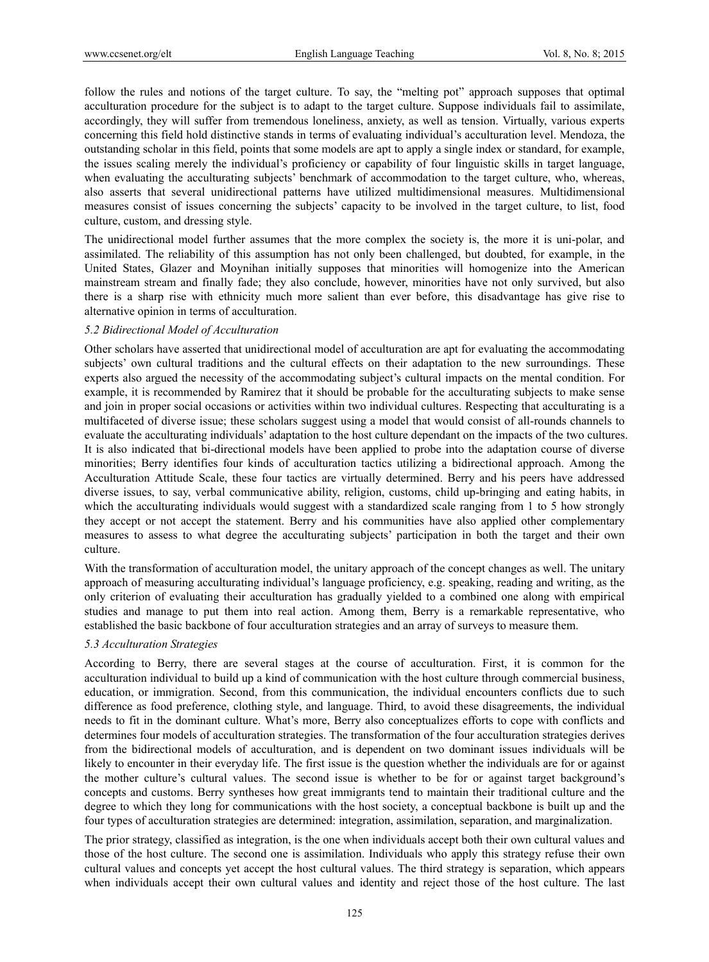follow the rules and notions of the target culture. To say, the "melting pot" approach supposes that optimal acculturation procedure for the subject is to adapt to the target culture. Suppose individuals fail to assimilate, accordingly, they will suffer from tremendous loneliness, anxiety, as well as tension. Virtually, various experts concerning this field hold distinctive stands in terms of evaluating individual's acculturation level. Mendoza, the outstanding scholar in this field, points that some models are apt to apply a single index or standard, for example, the issues scaling merely the individual's proficiency or capability of four linguistic skills in target language, when evaluating the acculturating subjects' benchmark of accommodation to the target culture, who, whereas, also asserts that several unidirectional patterns have utilized multidimensional measures. Multidimensional measures consist of issues concerning the subjects' capacity to be involved in the target culture, to list, food culture, custom, and dressing style.

The unidirectional model further assumes that the more complex the society is, the more it is uni-polar, and assimilated. The reliability of this assumption has not only been challenged, but doubted, for example, in the United States, Glazer and Moynihan initially supposes that minorities will homogenize into the American mainstream stream and finally fade; they also conclude, however, minorities have not only survived, but also there is a sharp rise with ethnicity much more salient than ever before, this disadvantage has give rise to alternative opinion in terms of acculturation.

# *5.2 Bidirectional Model of Acculturation*

Other scholars have asserted that unidirectional model of acculturation are apt for evaluating the accommodating subjects' own cultural traditions and the cultural effects on their adaptation to the new surroundings. These experts also argued the necessity of the accommodating subject's cultural impacts on the mental condition. For example, it is recommended by Ramirez that it should be probable for the acculturating subjects to make sense and join in proper social occasions or activities within two individual cultures. Respecting that acculturating is a multifaceted of diverse issue; these scholars suggest using a model that would consist of all-rounds channels to evaluate the acculturating individuals' adaptation to the host culture dependant on the impacts of the two cultures. It is also indicated that bi-directional models have been applied to probe into the adaptation course of diverse minorities; Berry identifies four kinds of acculturation tactics utilizing a bidirectional approach. Among the Acculturation Attitude Scale, these four tactics are virtually determined. Berry and his peers have addressed diverse issues, to say, verbal communicative ability, religion, customs, child up-bringing and eating habits, in which the acculturating individuals would suggest with a standardized scale ranging from 1 to 5 how strongly they accept or not accept the statement. Berry and his communities have also applied other complementary measures to assess to what degree the acculturating subjects' participation in both the target and their own culture.

With the transformation of acculturation model, the unitary approach of the concept changes as well. The unitary approach of measuring acculturating individual's language proficiency, e.g. speaking, reading and writing, as the only criterion of evaluating their acculturation has gradually yielded to a combined one along with empirical studies and manage to put them into real action. Among them, Berry is a remarkable representative, who established the basic backbone of four acculturation strategies and an array of surveys to measure them.

# *5.3 Acculturation Strategies*

According to Berry, there are several stages at the course of acculturation. First, it is common for the acculturation individual to build up a kind of communication with the host culture through commercial business, education, or immigration. Second, from this communication, the individual encounters conflicts due to such difference as food preference, clothing style, and language. Third, to avoid these disagreements, the individual needs to fit in the dominant culture. What's more, Berry also conceptualizes efforts to cope with conflicts and determines four models of acculturation strategies. The transformation of the four acculturation strategies derives from the bidirectional models of acculturation, and is dependent on two dominant issues individuals will be likely to encounter in their everyday life. The first issue is the question whether the individuals are for or against the mother culture's cultural values. The second issue is whether to be for or against target background's concepts and customs. Berry syntheses how great immigrants tend to maintain their traditional culture and the degree to which they long for communications with the host society, a conceptual backbone is built up and the four types of acculturation strategies are determined: integration, assimilation, separation, and marginalization.

The prior strategy, classified as integration, is the one when individuals accept both their own cultural values and those of the host culture. The second one is assimilation. Individuals who apply this strategy refuse their own cultural values and concepts yet accept the host cultural values. The third strategy is separation, which appears when individuals accept their own cultural values and identity and reject those of the host culture. The last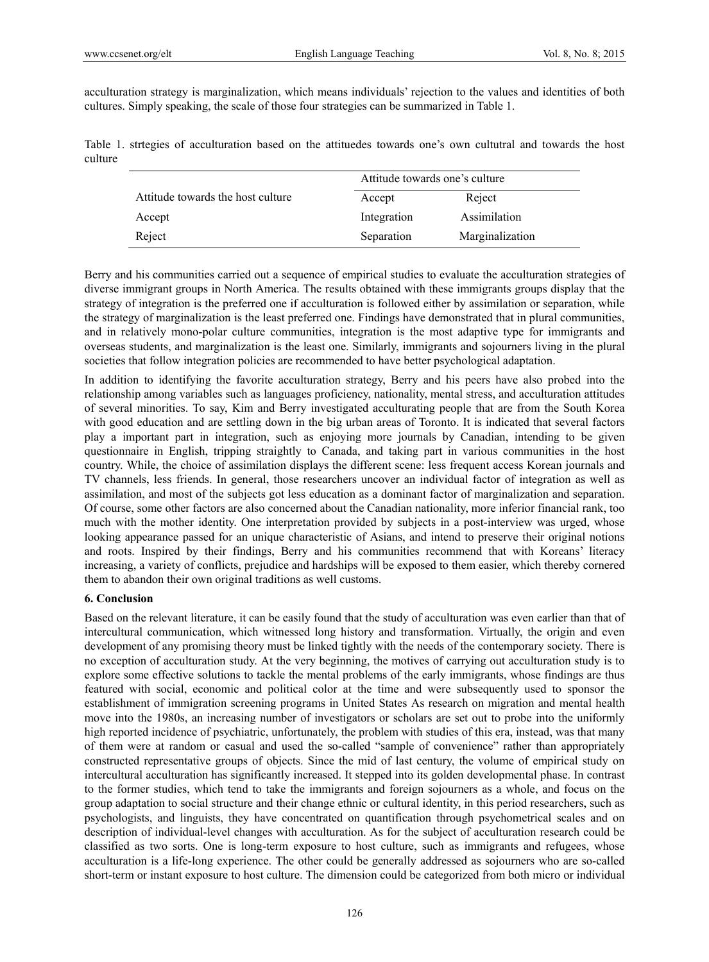acculturation strategy is marginalization, which means individuals' rejection to the values and identities of both cultures. Simply speaking, the scale of those four strategies can be summarized in Table 1.

Table 1. strtegies of acculturation based on the attituedes towards one's own cultutral and towards the host culture

|                                   | Attitude towards one's culture |                 |  |
|-----------------------------------|--------------------------------|-----------------|--|
| Attitude towards the host culture | Accept                         | Reject          |  |
| Accept                            | Integration                    | Assimilation    |  |
| Reject                            | Separation                     | Marginalization |  |
|                                   |                                |                 |  |

Berry and his communities carried out a sequence of empirical studies to evaluate the acculturation strategies of diverse immigrant groups in North America. The results obtained with these immigrants groups display that the strategy of integration is the preferred one if acculturation is followed either by assimilation or separation, while the strategy of marginalization is the least preferred one. Findings have demonstrated that in plural communities, and in relatively mono-polar culture communities, integration is the most adaptive type for immigrants and overseas students, and marginalization is the least one. Similarly, immigrants and sojourners living in the plural societies that follow integration policies are recommended to have better psychological adaptation.

In addition to identifying the favorite acculturation strategy, Berry and his peers have also probed into the relationship among variables such as languages proficiency, nationality, mental stress, and acculturation attitudes of several minorities. To say, Kim and Berry investigated acculturating people that are from the South Korea with good education and are settling down in the big urban areas of Toronto. It is indicated that several factors play a important part in integration, such as enjoying more journals by Canadian, intending to be given questionnaire in English, tripping straightly to Canada, and taking part in various communities in the host country. While, the choice of assimilation displays the different scene: less frequent access Korean journals and TV channels, less friends. In general, those researchers uncover an individual factor of integration as well as assimilation, and most of the subjects got less education as a dominant factor of marginalization and separation. Of course, some other factors are also concerned about the Canadian nationality, more inferior financial rank, too much with the mother identity. One interpretation provided by subjects in a post-interview was urged, whose looking appearance passed for an unique characteristic of Asians, and intend to preserve their original notions and roots. Inspired by their findings, Berry and his communities recommend that with Koreans' literacy increasing, a variety of conflicts, prejudice and hardships will be exposed to them easier, which thereby cornered them to abandon their own original traditions as well customs.

# **6. Conclusion**

Based on the relevant literature, it can be easily found that the study of acculturation was even earlier than that of intercultural communication, which witnessed long history and transformation. Virtually, the origin and even development of any promising theory must be linked tightly with the needs of the contemporary society. There is no exception of acculturation study. At the very beginning, the motives of carrying out acculturation study is to explore some effective solutions to tackle the mental problems of the early immigrants, whose findings are thus featured with social, economic and political color at the time and were subsequently used to sponsor the establishment of immigration screening programs in United States As research on migration and mental health move into the 1980s, an increasing number of investigators or scholars are set out to probe into the uniformly high reported incidence of psychiatric, unfortunately, the problem with studies of this era, instead, was that many of them were at random or casual and used the so-called "sample of convenience" rather than appropriately constructed representative groups of objects. Since the mid of last century, the volume of empirical study on intercultural acculturation has significantly increased. It stepped into its golden developmental phase. In contrast to the former studies, which tend to take the immigrants and foreign sojourners as a whole, and focus on the group adaptation to social structure and their change ethnic or cultural identity, in this period researchers, such as psychologists, and linguists, they have concentrated on quantification through psychometrical scales and on description of individual-level changes with acculturation. As for the subject of acculturation research could be classified as two sorts. One is long-term exposure to host culture, such as immigrants and refugees, whose acculturation is a life-long experience. The other could be generally addressed as sojourners who are so-called short-term or instant exposure to host culture. The dimension could be categorized from both micro or individual